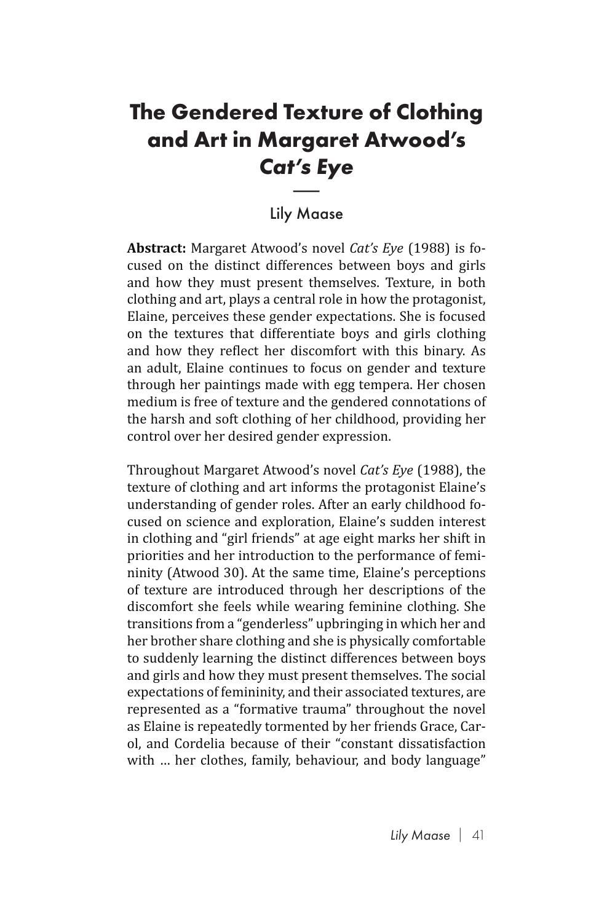## **The Gendered Texture of Clothing and Art in Margaret Atwood's**  *Cat's Eye* **Text<br>Irga<br>***t's E***<br>Andra**

## Lily Maase

**Abstract:** Margaret Atwood's novel *Cat's Eye* (1988) is focused on the distinct differences between boys and girls and how they must present themselves. Texture, in both clothing and art, plays a central role in how the protagonist, Elaine, perceives these gender expectations. She is focused on the textures that differentiate boys and girls clothing and how they reflect her discomfort with this binary. As an adult, Elaine continues to focus on gender and texture through her paintings made with egg tempera. Her chosen medium is free of texture and the gendered connotations of the harsh and soft clothing of her childhood, providing her control over her desired gender expression.

Throughout Margaret Atwood's novel *Cat's Eye* (1988), the texture of clothing and art informs the protagonist Elaine's understanding of gender roles. After an early childhood focused on science and exploration, Elaine's sudden interest in clothing and "girl friends" at age eight marks her shift in priorities and her introduction to the performance of femininity (Atwood 30). At the same time, Elaine's perceptions of texture are introduced through her descriptions of the discomfort she feels while wearing feminine clothing. She transitions from a "genderless" upbringing in which her and her brother share clothing and she is physically comfortable to suddenly learning the distinct differences between boys and girls and how they must present themselves. The social expectations of femininity, and their associated textures, are represented as a "formative trauma" throughout the novel as Elaine is repeatedly tormented by her friends Grace, Carol, and Cordelia because of their "constant dissatisfaction with … her clothes, family, behaviour, and body language"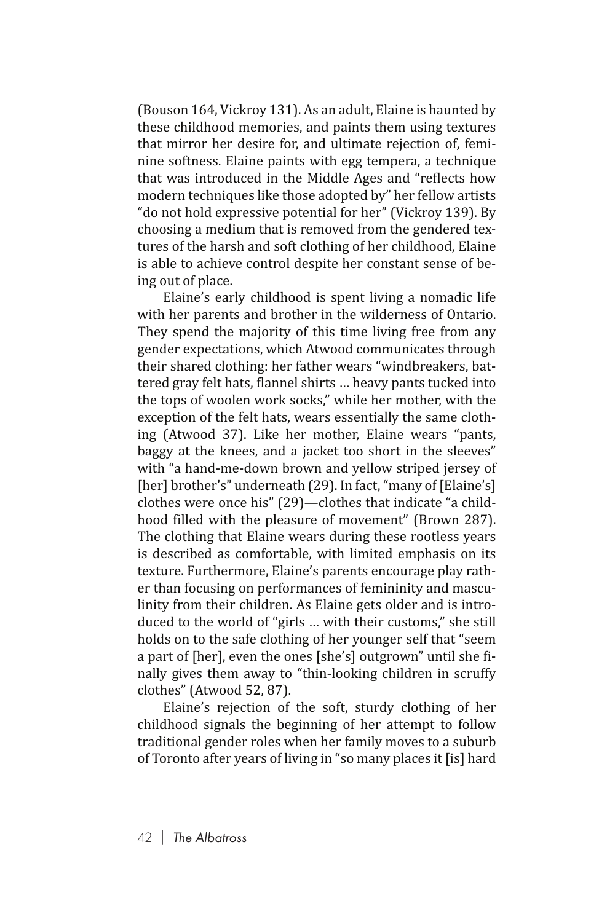(Bouson 164, Vickroy 131). As an adult, Elaine is haunted by these childhood memories, and paints them using textures that mirror her desire for, and ultimate rejection of, feminine softness. Elaine paints with egg tempera, a technique that was introduced in the Middle Ages and "reflects how modern techniques like those adopted by" her fellow artists "do not hold expressive potential for her" (Vickroy 139). By choosing a medium that is removed from the gendered textures of the harsh and soft clothing of her childhood, Elaine is able to achieve control despite her constant sense of being out of place.

Elaine's early childhood is spent living a nomadic life with her parents and brother in the wilderness of Ontario. They spend the majority of this time living free from any gender expectations, which Atwood communicates through their shared clothing: her father wears "windbreakers, battered gray felt hats, flannel shirts … heavy pants tucked into the tops of woolen work socks," while her mother, with the exception of the felt hats, wears essentially the same clothing (Atwood 37). Like her mother, Elaine wears "pants, baggy at the knees, and a jacket too short in the sleeves" with "a hand-me-down brown and yellow striped jersey of [her] brother's" underneath (29). In fact, "many of [Elaine's] clothes were once his" (29)—clothes that indicate "a childhood filled with the pleasure of movement" (Brown 287). The clothing that Elaine wears during these rootless years is described as comfortable, with limited emphasis on its texture. Furthermore, Elaine's parents encourage play rather than focusing on performances of femininity and masculinity from their children. As Elaine gets older and is introduced to the world of "girls … with their customs," she still holds on to the safe clothing of her younger self that "seem a part of [her], even the ones [she's] outgrown" until she finally gives them away to "thin-looking children in scruffy clothes" (Atwood 52, 87).

Elaine's rejection of the soft, sturdy clothing of her childhood signals the beginning of her attempt to follow traditional gender roles when her family moves to a suburb of Toronto after years of living in "so many places it [is] hard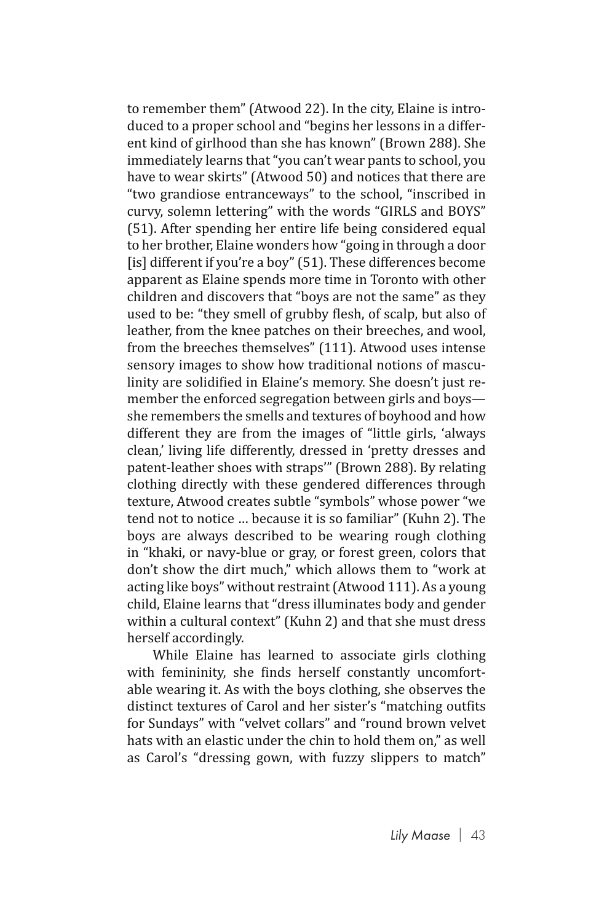to remember them" (Atwood 22). In the city, Elaine is introduced to a proper school and "begins her lessons in a different kind of girlhood than she has known" (Brown 288). She immediately learns that "you can't wear pants to school, you have to wear skirts" (Atwood 50) and notices that there are "two grandiose entranceways" to the school, "inscribed in curvy, solemn lettering" with the words "GIRLS and BOYS" (51). After spending her entire life being considered equal to her brother, Elaine wonders how "going in through a door [is] different if you're a boy" (51). These differences become apparent as Elaine spends more time in Toronto with other children and discovers that "boys are not the same" as they used to be: "they smell of grubby flesh, of scalp, but also of leather, from the knee patches on their breeches, and wool, from the breeches themselves" (111). Atwood uses intense sensory images to show how traditional notions of masculinity are solidified in Elaine's memory. She doesn't just remember the enforced segregation between girls and boys she remembers the smells and textures of boyhood and how different they are from the images of "little girls, 'always clean,' living life differently, dressed in 'pretty dresses and patent-leather shoes with straps'" (Brown 288). By relating clothing directly with these gendered differences through texture, Atwood creates subtle "symbols" whose power "we tend not to notice … because it is so familiar" (Kuhn 2). The boys are always described to be wearing rough clothing in "khaki, or navy-blue or gray, or forest green, colors that don't show the dirt much," which allows them to "work at acting like boys" without restraint (Atwood 111). As a young child, Elaine learns that "dress illuminates body and gender within a cultural context" (Kuhn 2) and that she must dress herself accordingly.

While Elaine has learned to associate girls clothing with femininity, she finds herself constantly uncomfortable wearing it. As with the boys clothing, she observes the distinct textures of Carol and her sister's "matching outfits for Sundays" with "velvet collars" and "round brown velvet hats with an elastic under the chin to hold them on," as well as Carol's "dressing gown, with fuzzy slippers to match"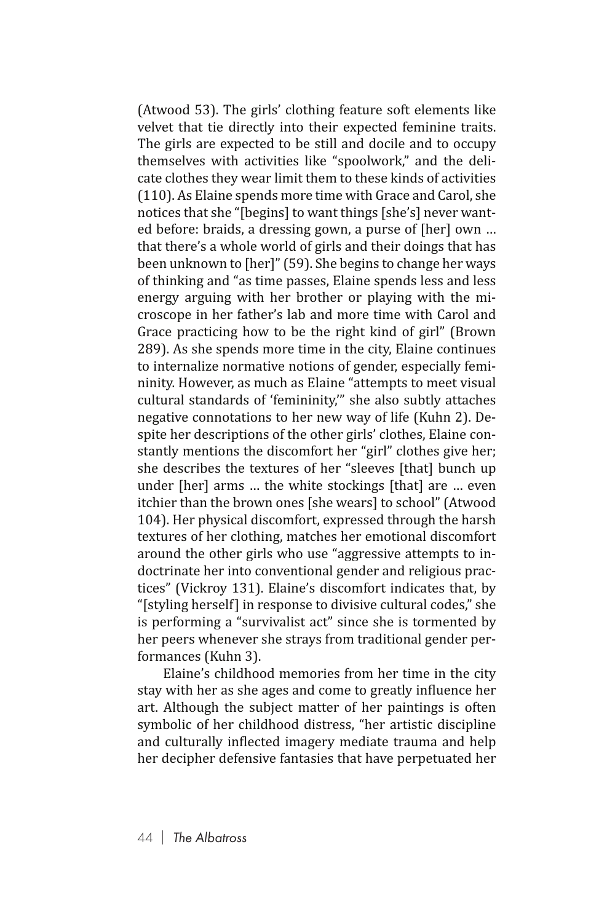(Atwood 53). The girls' clothing feature soft elements like velvet that tie directly into their expected feminine traits. The girls are expected to be still and docile and to occupy themselves with activities like "spoolwork," and the delicate clothes they wear limit them to these kinds of activities (110). As Elaine spends more time with Grace and Carol, she notices that she "[begins] to want things [she's] never wanted before: braids, a dressing gown, a purse of [her] own … that there's a whole world of girls and their doings that has been unknown to [her]" (59). She begins to change her ways of thinking and "as time passes, Elaine spends less and less energy arguing with her brother or playing with the microscope in her father's lab and more time with Carol and Grace practicing how to be the right kind of girl" (Brown 289). As she spends more time in the city, Elaine continues to internalize normative notions of gender, especially femininity. However, as much as Elaine "attempts to meet visual cultural standards of 'femininity,'" she also subtly attaches negative connotations to her new way of life (Kuhn 2). Despite her descriptions of the other girls' clothes, Elaine constantly mentions the discomfort her "girl" clothes give her; she describes the textures of her "sleeves [that] bunch up under [her] arms … the white stockings [that] are … even itchier than the brown ones [she wears] to school" (Atwood 104). Her physical discomfort, expressed through the harsh textures of her clothing, matches her emotional discomfort around the other girls who use "aggressive attempts to indoctrinate her into conventional gender and religious practices" (Vickroy 131). Elaine's discomfort indicates that, by "[styling herself] in response to divisive cultural codes," she is performing a "survivalist act" since she is tormented by her peers whenever she strays from traditional gender performances (Kuhn 3).

Elaine's childhood memories from her time in the city stay with her as she ages and come to greatly influence her art. Although the subject matter of her paintings is often symbolic of her childhood distress, "her artistic discipline and culturally inflected imagery mediate trauma and help her decipher defensive fantasies that have perpetuated her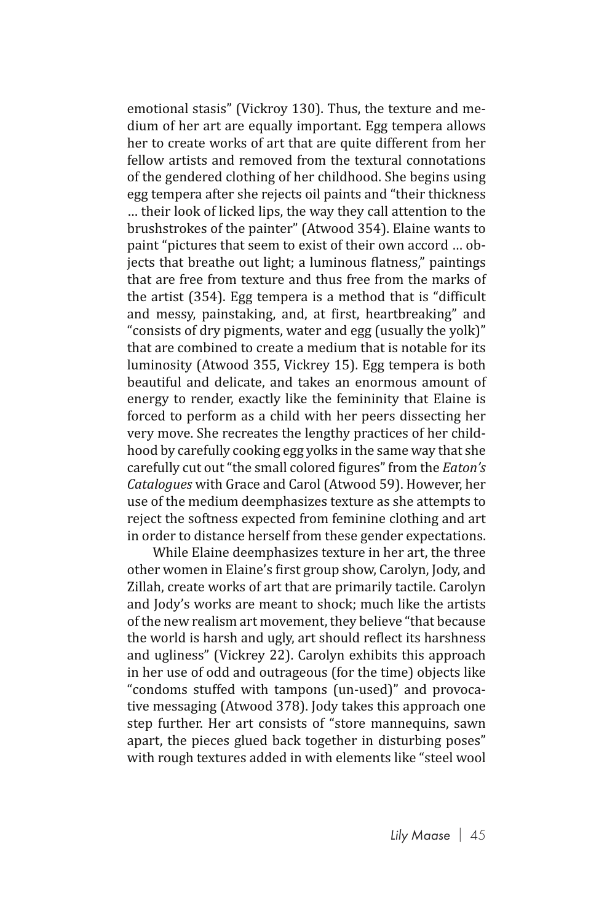emotional stasis" (Vickroy 130). Thus, the texture and medium of her art are equally important. Egg tempera allows her to create works of art that are quite different from her fellow artists and removed from the textural connotations of the gendered clothing of her childhood. She begins using egg tempera after she rejects oil paints and "their thickness … their look of licked lips, the way they call attention to the brushstrokes of the painter" (Atwood 354). Elaine wants to paint "pictures that seem to exist of their own accord … objects that breathe out light; a luminous flatness," paintings that are free from texture and thus free from the marks of the artist (354). Egg tempera is a method that is "difficult and messy, painstaking, and, at first, heartbreaking" and "consists of dry pigments, water and egg (usually the yolk)" that are combined to create a medium that is notable for its luminosity (Atwood 355, Vickrey 15). Egg tempera is both beautiful and delicate, and takes an enormous amount of energy to render, exactly like the femininity that Elaine is forced to perform as a child with her peers dissecting her very move. She recreates the lengthy practices of her childhood by carefully cooking egg yolks in the same way that she carefully cut out "the small colored figures" from the *Eaton's Catalogues* with Grace and Carol (Atwood 59). However, her use of the medium deemphasizes texture as she attempts to reject the softness expected from feminine clothing and art in order to distance herself from these gender expectations.

While Elaine deemphasizes texture in her art, the three other women in Elaine's first group show, Carolyn, Jody, and Zillah, create works of art that are primarily tactile. Carolyn and Jody's works are meant to shock: much like the artists of the new realism art movement, they believe "that because the world is harsh and ugly, art should reflect its harshness and ugliness" (Vickrey 22). Carolyn exhibits this approach in her use of odd and outrageous (for the time) objects like "condoms stuffed with tampons (un-used)" and provocative messaging (Atwood 378). Jody takes this approach one step further. Her art consists of "store mannequins, sawn apart, the pieces glued back together in disturbing poses" with rough textures added in with elements like "steel wool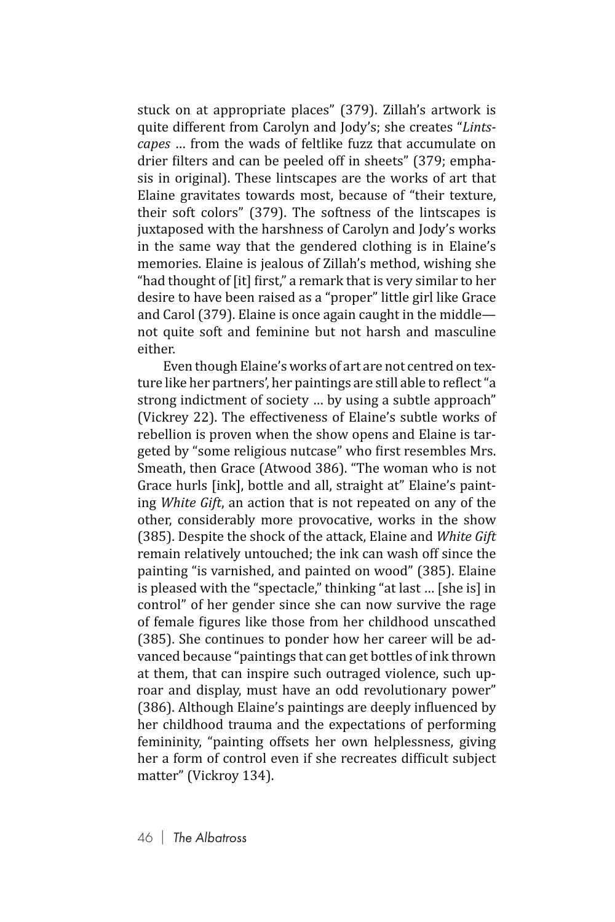stuck on at appropriate places" (379). Zillah's artwork is quite different from Carolyn and Jody's; she creates "*Lintscapes* … from the wads of feltlike fuzz that accumulate on drier filters and can be peeled off in sheets" (379; emphasis in original). These lintscapes are the works of art that Elaine gravitates towards most, because of "their texture, their soft colors" (379). The softness of the lintscapes is juxtaposed with the harshness of Carolyn and Jody's works in the same way that the gendered clothing is in Elaine's memories. Elaine is jealous of Zillah's method, wishing she "had thought of [it] first," a remark that is very similar to her desire to have been raised as a "proper" little girl like Grace and Carol (379). Elaine is once again caught in the middle not quite soft and feminine but not harsh and masculine either.

Even though Elaine's works of art are not centred on texture like her partners', her paintings are still able to reflect "a strong indictment of society … by using a subtle approach" (Vickrey 22). The effectiveness of Elaine's subtle works of rebellion is proven when the show opens and Elaine is targeted by "some religious nutcase" who first resembles Mrs. Smeath, then Grace (Atwood 386). "The woman who is not Grace hurls [ink], bottle and all, straight at" Elaine's painting *White Gift*, an action that is not repeated on any of the other, considerably more provocative, works in the show (385). Despite the shock of the attack, Elaine and *White Gift* remain relatively untouched; the ink can wash off since the painting "is varnished, and painted on wood" (385). Elaine is pleased with the "spectacle," thinking "at last … [she is] in control" of her gender since she can now survive the rage of female figures like those from her childhood unscathed (385). She continues to ponder how her career will be advanced because "paintings that can get bottles of ink thrown at them, that can inspire such outraged violence, such uproar and display, must have an odd revolutionary power" (386). Although Elaine's paintings are deeply influenced by her childhood trauma and the expectations of performing femininity, "painting offsets her own helplessness, giving her a form of control even if she recreates difficult subject matter" (Vickroy 134).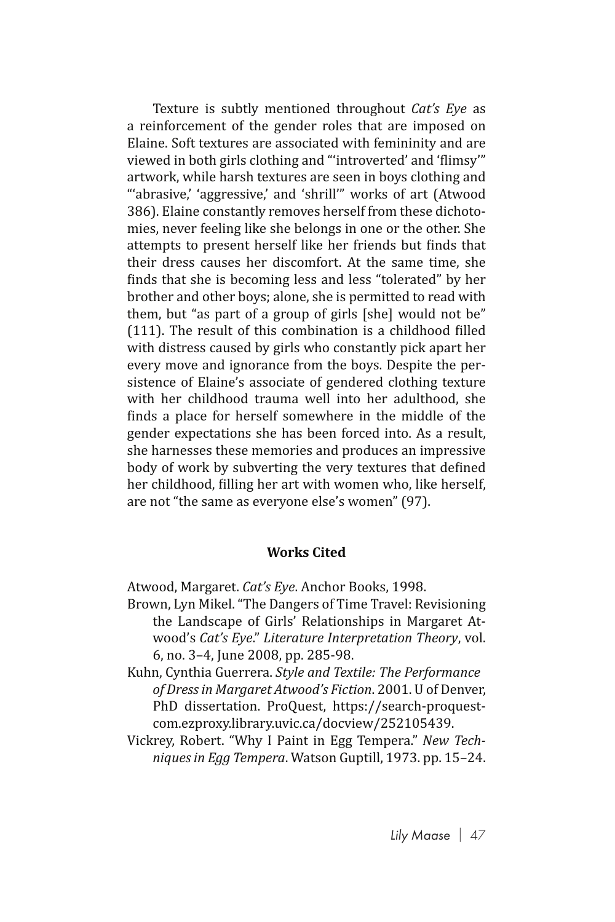Texture is subtly mentioned throughout *Cat's Eye* as a reinforcement of the gender roles that are imposed on Elaine. Soft textures are associated with femininity and are viewed in both girls clothing and "'introverted' and 'flimsy'" artwork, while harsh textures are seen in boys clothing and "'abrasive,' 'aggressive,' and 'shrill'" works of art (Atwood 386). Elaine constantly removes herself from these dichotomies, never feeling like she belongs in one or the other. She attempts to present herself like her friends but finds that their dress causes her discomfort. At the same time, she finds that she is becoming less and less "tolerated" by her brother and other boys; alone, she is permitted to read with them, but "as part of a group of girls [she] would not be" (111). The result of this combination is a childhood filled with distress caused by girls who constantly pick apart her every move and ignorance from the boys. Despite the persistence of Elaine's associate of gendered clothing texture with her childhood trauma well into her adulthood, she finds a place for herself somewhere in the middle of the gender expectations she has been forced into. As a result, she harnesses these memories and produces an impressive body of work by subverting the very textures that defined her childhood, filling her art with women who, like herself, are not "the same as everyone else's women" (97).

## **Works Cited**

Atwood, Margaret. *Cat's Eye*. Anchor Books, 1998.

- Brown, Lyn Mikel. "The Dangers of Time Travel: Revisioning the Landscape of Girls' Relationships in Margaret Atwood's *Cat's Eye*." *Literature Interpretation Theory*, vol. 6, no. 3–4, June 2008, pp. 285-98.
- Kuhn, Cynthia Guerrera. *Style and Textile: The Performance of Dress in Margaret Atwood's Fiction*. 2001. U of Denver, PhD dissertation. ProQuest, https://search-proquestcom.ezproxy.library.uvic.ca/docview/252105439.
- Vickrey, Robert. "Why I Paint in Egg Tempera." *New Techniques in Egg Tempera*. Watson Guptill, 1973. pp. 15–24.